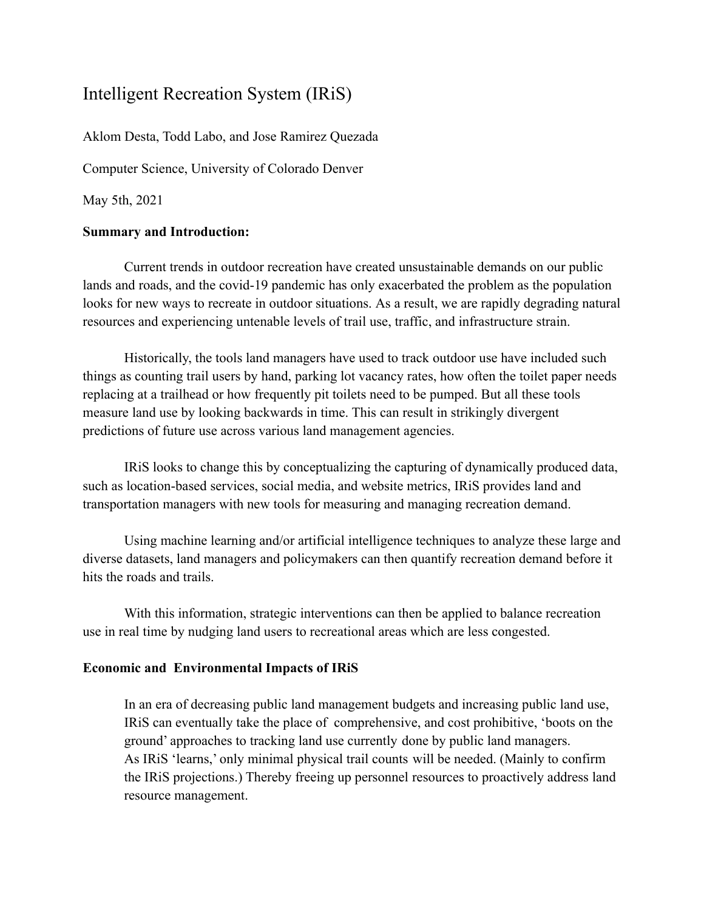# Intelligent Recreation System (IRiS)

Aklom Desta, Todd Labo, and Jose Ramirez Quezada

Computer Science, University of Colorado Denver

May 5th, 2021

#### **Summary and Introduction:**

Current trends in outdoor recreation have created unsustainable demands on our public lands and roads, and the covid-19 pandemic has only exacerbated the problem as the population looks for new ways to recreate in outdoor situations. As a result, we are rapidly degrading natural resources and experiencing untenable levels of trail use, traffic, and infrastructure strain.

Historically, the tools land managers have used to track outdoor use have included such things as counting trail users by hand, parking lot vacancy rates, how often the toilet paper needs replacing at a trailhead or how frequently pit toilets need to be pumped. But all these tools measure land use by looking backwards in time. This can result in strikingly divergent predictions of future use across various land management agencies.

IRiS looks to change this by conceptualizing the capturing of dynamically produced data, such as location-based services, social media, and website metrics, IRiS provides land and transportation managers with new tools for measuring and managing recreation demand.

Using machine learning and/or artificial intelligence techniques to analyze these large and diverse datasets, land managers and policymakers can then quantify recreation demand before it hits the roads and trails.

With this information, strategic interventions can then be applied to balance recreation use in real time by nudging land users to recreational areas which are less congested.

#### **Economic and Environmental Impacts of IRiS**

In an era of decreasing public land management budgets and increasing public land use, IRiS can eventually take the place of comprehensive, and cost prohibitive, 'boots on the ground' approaches to tracking land use currently done by public land managers. As IRiS 'learns,' only minimal physical trail counts will be needed. (Mainly to confirm the IRiS projections.) Thereby freeing up personnel resources to proactively address land resource management.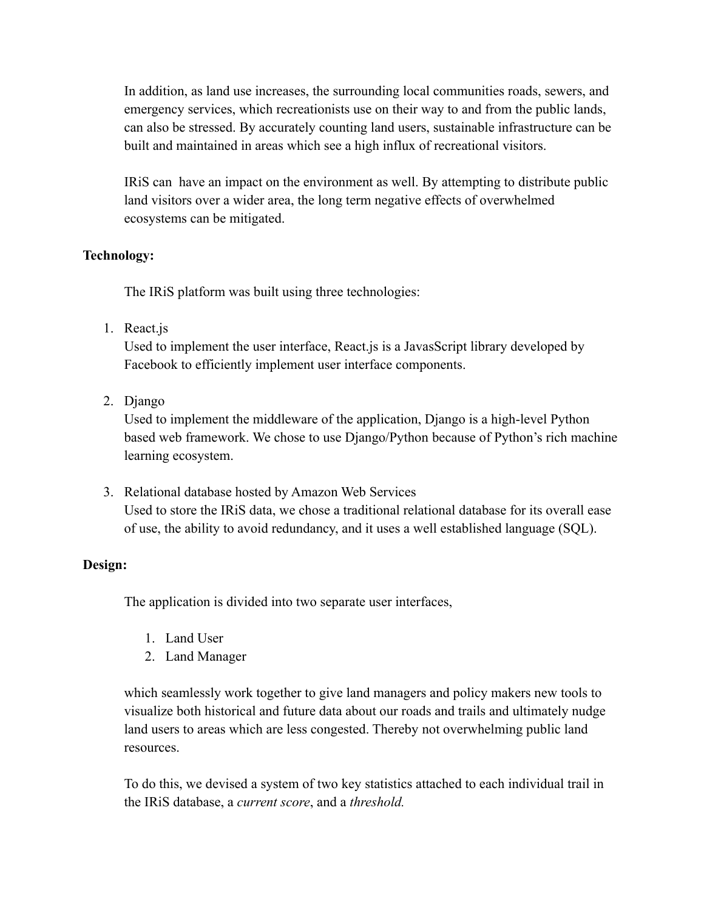In addition, as land use increases, the surrounding local communities roads, sewers, and emergency services, which recreationists use on their way to and from the public lands, can also be stressed. By accurately counting land users, sustainable infrastructure can be built and maintained in areas which see a high influx of recreational visitors.

IRiS can have an impact on the environment as well. By attempting to distribute public land visitors over a wider area, the long term negative effects of overwhelmed ecosystems can be mitigated.

# **Technology:**

The IRiS platform was built using three technologies:

1. React.js

Used to implement the user interface, React.js is a JavasScript library developed by Facebook to efficiently implement user interface components.

2. Django

Used to implement the middleware of the application, Django is a high-level Python based web framework. We chose to use Django/Python because of Python's rich machine learning ecosystem.

3. Relational database hosted by Amazon Web Services Used to store the IRiS data, we chose a traditional relational database for its overall ease of use, the ability to avoid redundancy, and it uses a well established language (SQL).

# **Design:**

The application is divided into two separate user interfaces,

- 1. Land User
- 2. Land Manager

which seamlessly work together to give land managers and policy makers new tools to visualize both historical and future data about our roads and trails and ultimately nudge land users to areas which are less congested. Thereby not overwhelming public land resources.

To do this, we devised a system of two key statistics attached to each individual trail in the IRiS database, a *current score*, and a *threshold.*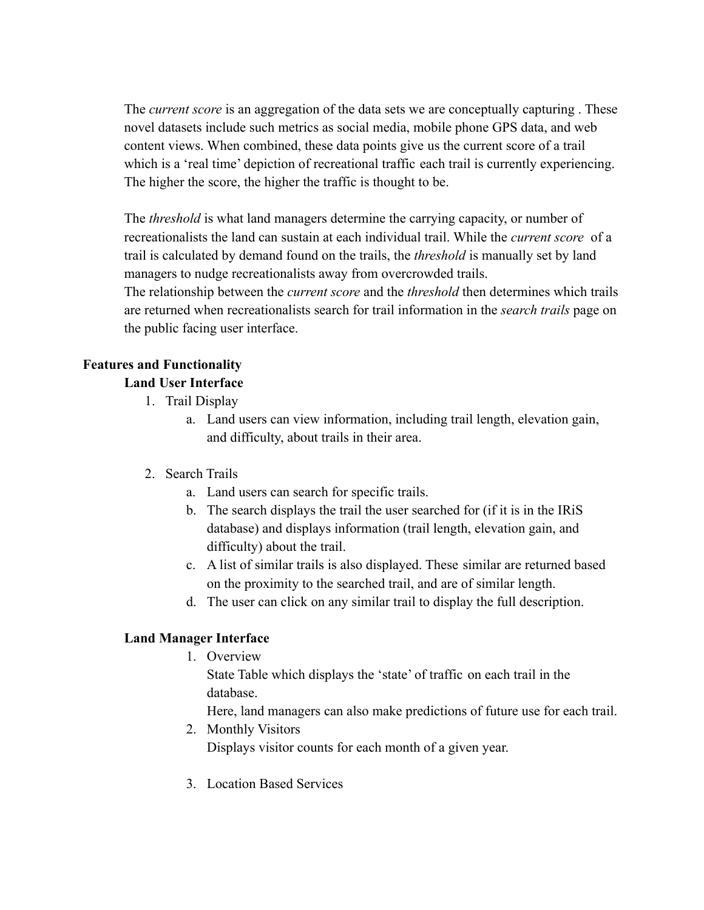The *current score* is an aggregation of the data sets we are conceptually capturing . These novel datasets include such metrics as social media, mobile phone GPS data, and web content views. When combined, these data points give us the current score of a trail which is a 'real time' depiction of recreational traffic each trail is currently experiencing. The higher the score, the higher the traffic is thought to be.

The *threshold* is what land managers determine the carrying capacity, or number of recreationalists the land can sustain at each individual trail. While the *current score* of a trail is calculated by demand found on the trails, the *threshold* is manually set by land managers to nudge recreationalists away from overcrowded trails.

The relationship between the *current score* and the *threshold* then determines which trails are returned when recreationalists search for trail information in the *search trails* page on the public facing user interface.

# **Features and Functionality**

# **Land User Interface**

- 1. Trail Display
	- a. Land users can view information, including trail length, elevation gain, and difficulty, about trails in their area.

# 2. Search Trails

- a. Land users can search for specific trails.
- b. The search displays the trail the user searched for (if it is in the IRiS database) and displays information (trail length, elevation gain, and difficulty) about the trail.
- c. A list of similar trails is also displayed. These similar are returned based on the proximity to the searched trail, and are of similar length.
- d. The user can click on any similar trail to display the full description.

#### **Land Manager Interface**

1. Overview

State Table which displays the 'state' of traffic on each trail in the database.

Here, land managers can also make predictions of future use for each trail.

2. Monthly Visitors

Displays visitor counts for each month of a given year.

3. Location Based Services